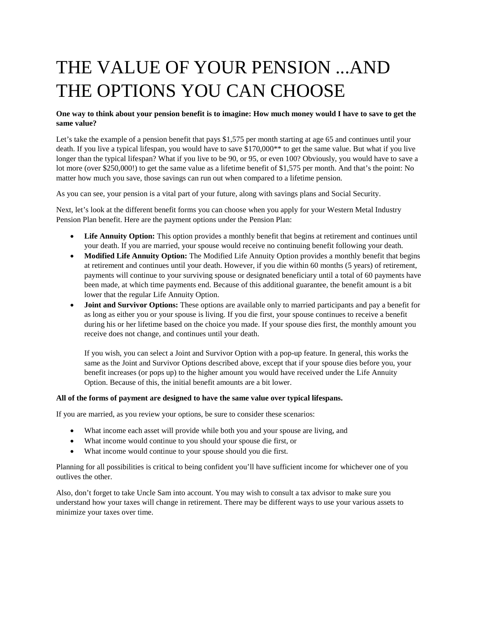# THE VALUE OF YOUR PENSION ...AND THE OPTIONS YOU CAN CHOOSE

### **One way to think about your pension benefit is to imagine: How much money would I have to save to get the same value?**

Let's take the example of a pension benefit that pays \$1,575 per month starting at age 65 and continues until your death. If you live a typical lifespan, you would have to save \$170,000\*\* to get the same value. But what if you live longer than the typical lifespan? What if you live to be 90, or 95, or even 100? Obviously, you would have to save a lot more (over \$250,000!) to get the same value as a lifetime benefit of \$1,575 per month. And that's the point: No matter how much you save, those savings can run out when compared to a lifetime pension.

As you can see, your pension is a vital part of your future, along with savings plans and Social Security.

Next, let's look at the different benefit forms you can choose when you apply for your Western Metal Industry Pension Plan benefit. Here are the payment options under the Pension Plan:

- **Life Annuity Option:** This option provides a monthly benefit that begins at retirement and continues until your death. If you are married, your spouse would receive no continuing benefit following your death.
- **Modified Life Annuity Option:** The Modified Life Annuity Option provides a monthly benefit that begins at retirement and continues until your death. However, if you die within 60 months (5 years) of retirement, payments will continue to your surviving spouse or designated beneficiary until a total of 60 payments have been made, at which time payments end. Because of this additional guarantee, the benefit amount is a bit lower that the regular Life Annuity Option.
- **Joint and Survivor Options:** These options are available only to married participants and pay a benefit for as long as either you or your spouse is living. If you die first, your spouse continues to receive a benefit during his or her lifetime based on the choice you made. If your spouse dies first, the monthly amount you receive does not change, and continues until your death.

If you wish, you can select a Joint and Survivor Option with a pop-up feature. In general, this works the same as the Joint and Survivor Options described above, except that if your spouse dies before you, your benefit increases (or pops up) to the higher amount you would have received under the Life Annuity Option. Because of this, the initial benefit amounts are a bit lower.

#### **All of the forms of payment are designed to have the same value over typical lifespans.**

If you are married, as you review your options, be sure to consider these scenarios:

- What income each asset will provide while both you and your spouse are living, and
- What income would continue to you should your spouse die first, or
- What income would continue to your spouse should you die first.

Planning for all possibilities is critical to being confident you'll have sufficient income for whichever one of you outlives the other.

Also, don't forget to take Uncle Sam into account. You may wish to consult a tax advisor to make sure you understand how your taxes will change in retirement. There may be different ways to use your various assets to minimize your taxes over time.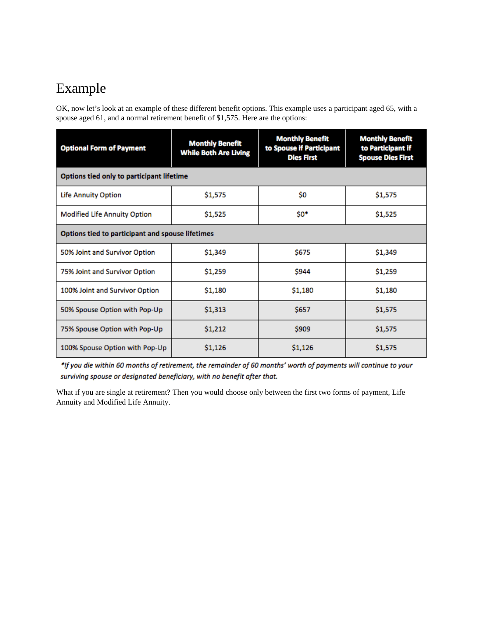## Example

OK, now let's look at an example of these different benefit options. This example uses a participant aged 65, with a spouse aged 61, and a normal retirement benefit of \$1,575. Here are the options:

| <b>Optional Form of Payment</b>                  | <b>Monthly Benefit</b><br><b>While Both Are Living</b> | <b>Monthly Benefit</b><br>to Spouse if Participant<br><b>Dies First</b> | <b>Monthly Benefit</b><br>to Participant if<br><b>Spouse Dies First</b> |
|--------------------------------------------------|--------------------------------------------------------|-------------------------------------------------------------------------|-------------------------------------------------------------------------|
| Options tied only to participant lifetime        |                                                        |                                                                         |                                                                         |
| <b>Life Annuity Option</b>                       | \$1,575                                                | \$O                                                                     | \$1,575                                                                 |
| <b>Modified Life Annuity Option</b>              | \$1,525                                                | \$0*                                                                    | \$1,525                                                                 |
| Options tied to participant and spouse lifetimes |                                                        |                                                                         |                                                                         |
| 50% Joint and Survivor Option                    | \$1,349                                                | \$675                                                                   | \$1,349                                                                 |
| 75% Joint and Survivor Option                    | \$1,259                                                | \$944                                                                   | \$1,259                                                                 |
| 100% Joint and Survivor Option                   | \$1,180                                                | \$1,180                                                                 | \$1,180                                                                 |
| 50% Spouse Option with Pop-Up                    | \$1,313                                                | \$657                                                                   | \$1,575                                                                 |
| 75% Spouse Option with Pop-Up                    | \$1,212                                                | \$909                                                                   | \$1,575                                                                 |
| 100% Spouse Option with Pop-Up                   | \$1,126                                                | \$1,126                                                                 | \$1,575                                                                 |

\*If you die within 60 months of retirement, the remainder of 60 months' worth of payments will continue to your surviving spouse or designated beneficiary, with no benefit after that.

What if you are single at retirement? Then you would choose only between the first two forms of payment, Life Annuity and Modified Life Annuity.